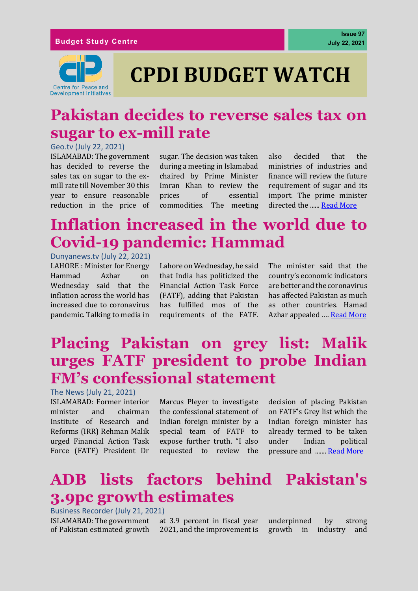

# **CPDI BUDGET WATCH**

### **Pakistan decides to reverse sales tax on sugar to ex-mill rate**

#### Geo.tv (July 22, 2021)

ISLAMABAD: The government has decided to reverse the sales tax on sugar to the exmill rate till November 30 this year to ensure reasonable reduction in the price of

sugar. The decision was taken during a meeting in Islamabad chaired by Prime Minister Imran Khan to review the prices of essential commodities. The meeting also decided that the ministries of industries and finance will review the future requirement of sugar and its import. The prime minister directed the ...... [Read More](https://www.geo.tv/latest/361182-govt-decides-to-reverse-sales-tax-on-sugar-to-ex-mill-rate-till-nov-30)

### **Inflation increased in the world due to Covid-19 pandemic: Hammad**

Dunyanews.tv (July 22, 2021) LAHORE : Minister for Energy Hammad Azhar on Wednesday said that the inflation across the world has increased due to coronavirus pandemic. Talking to media in

Lahore on Wednesday, he said that India has politicized the Financial Action Task Force (FATF), adding that Pakistan has fulfilled mos of the requirements of the FATF. The minister said that the country's economic indicators are better and the coronavirus has affected Pakistan as much as other countries. Hamad Azhar appealed .… [Read More](https://dunyanews.tv/en/Business/611578-Inflation-increased-in-the-world-due-to-Covid-19-pandemic-Hammad)

### **Placing Pakistan on grey list: Malik urges FATF president to probe Indian FM's confessional statement**

#### The News (July 21, 2021)

ISLAMABAD: Former interior minister and chairman Institute of Research and Reforms (IRR) Rehman Malik urged Financial Action Task Force (FATF) President Dr

Marcus Pleyer to investigate the confessional statement of Indian foreign minister by a special team of FATF to expose further truth. "I also requested to review the

decision of placing Pakistan on FATF's Grey list which the Indian foreign minister has already termed to be taken under Indian political pressure and ......[. Read More](https://www.thenews.com.pk/print/867044-placing-pakistan-on-grey-list-malik-urges-fatf-president-to-probe-indian-fm-s-confessional-statement)

### **ADB lists factors behind Pakistan's 3.9pc growth estimates**

Business Recorder (July 21, 2021) ISLAMABAD: The government of Pakistan estimated growth

at 3.9 percent in fiscal year 2021, and the improvement is underpinned by strong growth in industry and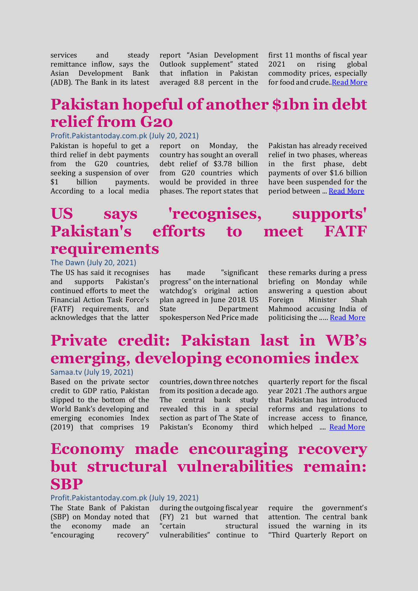services and steady remittance inflow, says the Asian Development Bank (ADB). The Bank in its latest report "Asian Development Outlook supplement" stated that inflation in Pakistan averaged 8.8 percent in the first 11 months of fiscal year 2021 on rising global commodity prices, especially for food and crude.[.Read More](https://www.brecorder.com/news/40108448)

### **Pakistan hopeful of another \$1bn in debt relief from G20**

#### Profit.Pakistantoday.com.pk (July 20, 2021)

Pakistan is hopeful to get a third relief in debt payments from the G20 countries, seeking a suspension of over \$1 billion payments. According to a local media

report on Monday, the country has sought an overall debt relief of \$3.78 billion from G20 countries which would be provided in three phases. The report states that

Pakistan has already received relief in two phases, whereas in the first phase, debt payments of over \$1.6 billion have been suspended for the period between ... [Read More](https://profit.pakistantoday.com.pk/2021/07/20/pakistan-hopeful-of-another-1bn-in-debt-relief-from-g20/)

### **US says 'recognises, supports' Pakistan's efforts to meet FATF requirements**

The Dawn (July 20, 2021) The US has said it recognises and supports Pakistan's continued efforts to meet the Financial Action Task Force's (FATF) requirements, and acknowledges that the latter

has made "significant progress" on the international watchdog's original action plan agreed in June 2018. US State Department spokesperson Ned Price made

these remarks during a press briefing on Monday while answering a question about Foreign Minister Shah Mahmood accusing India of politicising the ..… [Read More](https://www.dawn.com/news/1636195)

# **Private credit: Pakistan last in WB's emerging, developing economies index**

#### Samaa.tv (July 19, 2021)

Based on the private sector credit to GDP ratio, Pakistan slipped to the bottom of the World Bank's developing and emerging economies Index (2019) that comprises 19

countries, down three notches from its position a decade ago. The central bank study revealed this in a special section as part of The State of Pakistan's Economy third

quarterly report for the fiscal year 2021 .The authors argue that Pakistan has introduced reforms and regulations to increase access to finance, which helped .... [Read More](https://www.samaa.tv/money/2021/07/private-credit-pakistan-last-in-wbs-emerging-developing-economies-index/)

### **Economy made encouraging recovery but structural vulnerabilities remain: SBP**

#### Profit.Pakistantoday.com.pk (July 19, 2021)

The State Bank of Pakistan (SBP) on Monday noted that the economy made an "encouraging recovery"

during the outgoing fiscal year (FY) 21 but warned that "certain structural vulnerabilities" continue to

require the government's attention. The central bank issued the warning in its "Third Quarterly Report on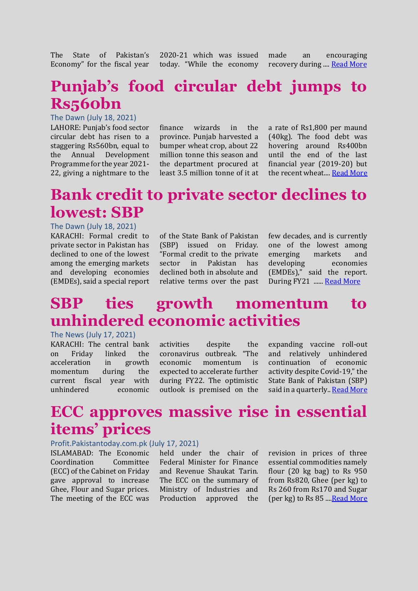The State of Pakistan's Economy" for the fiscal year 2020-21 which was issued today. "While the economy

made an encouraging recovery during .... [Read More](https://profit.pakistantoday.com.pk/2021/07/19/economy-made-encouraging-recovery-but-structural-vulnerabilities-remain-sbp/)

# **Punjab's food circular debt jumps to Rs560bn**

#### The Dawn (July 18, 2021)

LAHORE: Punjab's food sector circular debt has risen to a staggering Rs560bn, equal to the Annual Development Programme for the year 2021- 22, giving a nightmare to the

finance wizards in the province. Punjab harvested a bumper wheat crop, about 22 million tonne this season and the department procured at least 3.5 million tonne of it at

a rate of Rs1,800 per maund (40kg). The food debt was hovering around Rs400bn until the end of the last financial year (2019-20) but the recent wheat...[. Read More](https://www.dawn.com/news/1635655)

### **Bank credit to private sector declines to lowest: SBP**

#### The Dawn (July 18, 2021)

KARACHI: Formal credit to private sector in Pakistan has declined to one of the lowest among the emerging markets and developing economies (EMDEs), said a special report of the State Bank of Pakistan (SBP) issued on Friday. "Formal credit to the private sector in Pakistan has declined both in absolute and relative terms over the past few decades, and is currently one of the lowest among emerging markets and developing economies (EMDEs)," said the report. During FY21 ...... [Read More](https://www.dawn.com/news/1635754)

### **SBP ties growth momentum to unhindered economic activities**

#### The News (July 17, 2021)

KARACHI: The central bank on Friday linked the acceleration in growth momentum during the current fiscal year with unhindered economic activities despite the coronavirus outbreak. "The economic momentum is expected to accelerate further during FY22. The optimistic outlook is premised on the expanding vaccine roll-out and relatively unhindered continuation of economic activity despite Covid-19," the State Bank of Pakistan (SBP) said in a quarterly.. [Read More](https://www.thenews.com.pk/print/865145-sbp-ties-growth-momentum-to-unhindered-economic-activities)

### **ECC approves massive rise in essential items' prices**

#### Profit.Pakistantoday.com.pk (July 17, 2021)

ISLAMABAD: The Economic Coordination Committee (ECC) of the Cabinet on Friday gave approval to increase Ghee, Flour and Sugar prices. The meeting of the ECC was

held under the chair of Federal Minister for Finance and Revenue Shaukat Tarin. The ECC on the summary of Ministry of Industries and Production approved the

revision in prices of three essential commodities namely flour (20 kg bag) to Rs 950 from Rs820, Ghee (per kg) to Rs 260 from Rs170 and Sugar (per kg) to Rs 85 ..[..Read More](https://profit.pakistantoday.com.pk/2021/07/17/ecc-approves-massive-rise-in-essential-items-prices/)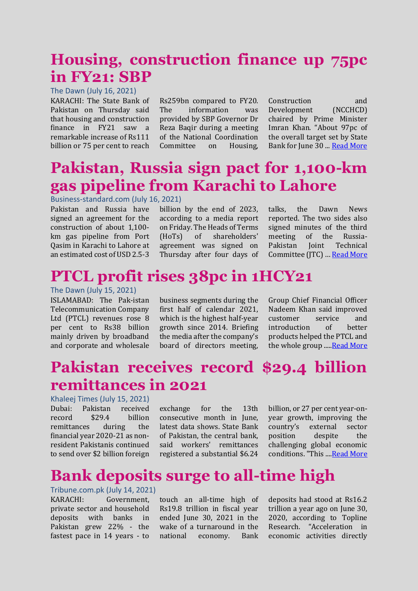### **Housing, construction finance up 75pc in FY21: SBP**

#### The Dawn (July 16, 2021)

KARACHI: The State Bank of Pakistan on Thursday said that housing and construction finance in FY21 saw a remarkable increase of Rs111 billion or 75 per cent to reach

Rs259bn compared to FY20. The information was provided by SBP Governor Dr Reza Baqir during a meeting of the National Coordination Committee on Housing,

Construction and Development (NCCHCD) chaired by Prime Minister Imran Khan. "About 97pc of the overall target set by State Bank for June 30 ... [Read More](https://www.dawn.com/news/1635289)

### **Pakistan, Russia sign pact for 1,100-km gas pipeline from Karachi to Lahore**

#### Business-standard.com (July 16, 2021)

Pakistan and Russia have signed an agreement for the construction of about 1,100 km gas pipeline from Port Qasim in Karachi to Lahore at an estimated cost of USD 2.5-3

billion by the end of 2023, according to a media report on Friday. The Heads of Terms (HoTs) of shareholders' agreement was signed on Thursday after four days of talks, the Dawn News reported. The two sides also signed minutes of the third meeting of the Russia-Pakistan Joint Technical Committee (JTC) … [Read More](https://www.business-standard.com/article/international/pakistan-russia-sign-pact-for-1-100-km-gas-pipeline-from-karachi-to-lahore-121071600905_1.html)

### **PTCL profit rises 38pc in 1HCY21**

The Dawn (July 15, 2021)

ISLAMABAD: The Pak-istan Telecommunication Company Ltd (PTCL) revenues rose 8 per cent to Rs38 billion mainly driven by broadband and corporate and wholesale business segments during the first half of calendar 2021, which is the highest half-year growth since 2014. Briefing the media after the company's board of directors meeting, Group Chief Financial Officer Nadeem Khan said improved customer service and introduction of better products helped the PTCL and the whole group ..... Read More

### **Pakistan receives record \$29.4 billion remittances in 2021**

#### Khaleej Times (July 15, 2021)

Dubai: Pakistan received record \$29.4 billion remittances during the financial year 2020-21 as nonresident Pakistanis continued to send over \$2 billion foreign

exchange for the 13th consecutive month in June, latest data shows. State Bank of Pakistan, the central bank, said workers' remittances registered a substantial \$6.24

billion, or 27 per cent year-onyear growth, improving the country's external sector position despite the challenging global economic conditions. "This .... Read More

#### **Bank deposits surge to all-time high**

Tribune.com.pk (July 14, 2021) KARACHI: Government, private sector and household deposits with banks in Pakistan grew 22% - the fastest pace in 14 years - to

touch an all-time high of Rs19.8 trillion in fiscal year ended June 30, 2021 in the wake of a turnaround in the national economy. Bank

deposits had stood at Rs16.2 trillion a year ago on June 30, 2020, according to Topline Research. "Acceleration in economic activities directly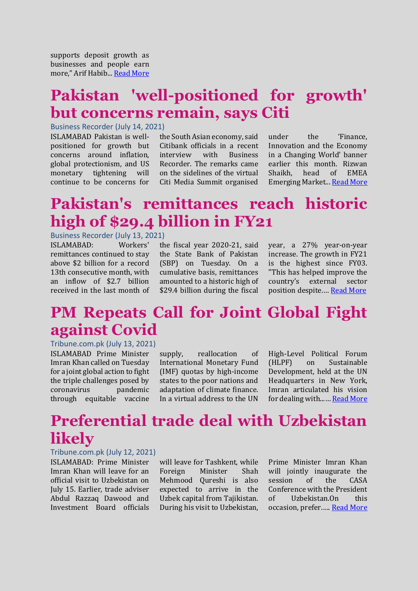supports deposit growth as businesses and people earn more," Arif Habib... [Read More](https://tribune.com.pk/story/2310361/bank-deposits-surge-to-all-time-high)

# **Pakistan 'well-positioned for growth' but concerns remain, says Citi**

#### Business Recorder (July 14, 2021)

ISLAMABAD Pakistan is wellpositioned for growth but concerns around inflation, global protectionism, and US monetary tightening will continue to be concerns for

the South Asian economy, said Citibank officials in a recent interview with Business Recorder. The remarks came on the sidelines of the virtual Citi Media Summit organised

under the 'Finance, Innovation and the Economy in a Changing World' banner earlier this month. Rizwan Shaikh, head of EMEA Emerging Market... [Read More](https://www.brecorder.com/news/40107123)

## **Pakistan's remittances reach historic high of \$29.4 billion in FY21**

#### Business Recorder (July 13, 2021)

ISLAMABAD: Workers' remittances continued to stay above \$2 billion for a record 13th consecutive month, with an inflow of \$2.7 billion received in the last month of

the fiscal year 2020-21, said the State Bank of Pakistan (SBP) on Tuesday. On a cumulative basis, remittances amounted to a historic high of \$29.4 billion during the fiscal

year, a 27% year-on-year increase. The growth in FY21 is the highest since FY03. "This has helped improve the country's external sector position despite.… [Read More](https://www.brecorder.com/news/40106884)

### **PM Repeats Call for Joint Global Fight against Covid**

Tribune.com.pk (July 13, 2021)

ISLAMABAD Prime Minister Imran Khan called on Tuesday for a joint global action to fight the triple challenges posed by coronavirus pandemic through equitable vaccine

supply, reallocation of International Monetary Fund (IMF) quotas by high-income states to the poor nations and adaptation of climate finance. In a virtual address to the UN

High-Level Political Forum (HLPF) on Sustainable Development, held at the UN Headquarters in New York, Imran articulated his vision for dealing with...… [Read More](https://tribune.com.pk/story/2310310/protracted-negotiations-will-defeat-purpose-of-debt-relief-pm-imran)

### **Preferential trade deal with Uzbekistan likely**

#### Tribune.com.pk (July 12, 2021)

ISLAMABAD: Prime Minister Imran Khan will leave for an official visit to Uzbekistan on July 15. Earlier, trade adviser Abdul Razzaq Dawood and Investment Board officials

will leave for Tashkent, while Foreign Minister Shah Mehmood Qureshi is also expected to arrive in the Uzbek capital from Tajikistan. During his visit to Uzbekistan,

Prime Minister Imran Khan will jointly inaugurate the session of the CASA Conference with the President of Uzbekistan.On this occasion, prefer..... [Read More](https://tribune.com.pk/story/2310104/preferential-trade-deal-with-uzbekistan-likely)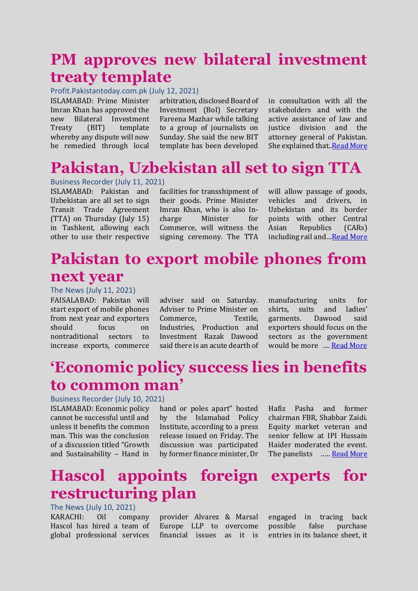### **PM approves new bilateral investment treaty template**

#### Profit.Pakistantoday.com.pk (July 12, 2021)

ISLAMABAD: Prime Minister Imran Khan has approved the new Bilateral Investment Treaty (BIT) template whereby any dispute will now be remedied through local

arbitration, disclosed Board of Investment (BoI) Secretary Fareena Mazhar while talking to a group of journalists on Sunday. She said the new BIT template has been developed

in consultation with all the stakeholders and with the active assistance of law and justice division and the attorney general of Pakistan. She explained that..*Read More* 

### **Pakistan, Uzbekistan all set to sign TTA**

Business Recorder (July 11, 2021) ISLAMABAD: Pakistan and Uzbekistan are all set to sign Transit Trade Agreement (TTA) on Thursday (July 15) in Tashkent, allowing each other to use their respective

facilities for transshipment of their goods. Prime Minister Imran Khan, who is also Incharge Minister for Commerce, will witness the signing ceremony. The TTA

will allow passage of goods, vehicles and drivers, in Uzbekistan and its border points with other Central Asian Republics (CARs) including rail and…[Read More](https://www.brecorder.com/news/40106480)

### **Pakistan to export mobile phones from next year**

The News (July 11, 2021)

FAISALABAD: Pakistan will start export of mobile phones from next year and exporters should focus on nontraditional sectors to increase exports, commerce

adviser said on Saturday. Adviser to Prime Minister on Commerce, Textile, Industries, Production and Investment Razak Dawood said there is an acute dearth of manufacturing units for shirts, suits and ladies' garments. Dawood said exporters should focus on the sectors as the government would be more .... [Read More](https://www.thenews.com.pk/print/862371-pakistan-to-export-mobile-phones-from-next-year)

### **'Economic policy success lies in benefits to common man'**

#### Business Recorder (July 10, 2021)

ISLAMABAD: Economic policy cannot be successful until and unless it benefits the common man. This was the conclusion of a discussion titled "Growth and Sustainability – Hand in

hand or poles apart" hosted by the Islamabad Policy Institute, according to a press release issued on Friday. The discussion was participated by former finance minister, Dr

Hafiz Pasha and former chairman FBR, Shabbar Zaidi. Equity market veteran and senior fellow at IPI Hussain Haider moderated the event. The panelists ..... **[Read More](https://www.brecorder.com/news/40106295)** 

### **Hascol appoints foreign experts for restructuring plan**

#### The News (July 10, 2021)

KARACHI: Oil company Hascol has hired a team of global professional services provider Alvarez & Marsal Europe LLP to overcome financial issues as it is engaged in tracing back possible false purchase entries in its balance sheet, it